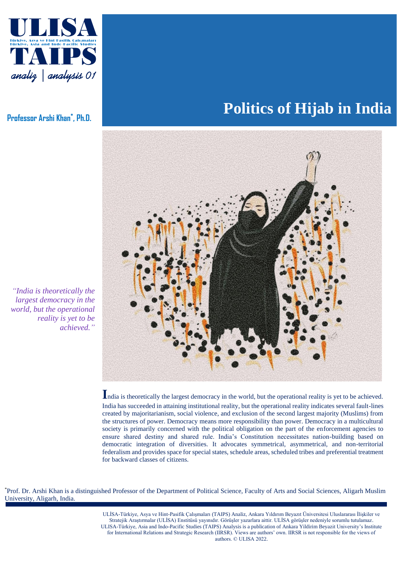

**Professor Arshi Khan\* , Ph.D.**

## **Politics of Hijab in India**



**I**ndia is theoretically the largest democracy in the world, but the operational reality is yet to be achieved. India has succeeded in attaining institutional reality, but the operational reality indicates several fault-lines created by majoritarianism, social violence, and exclusion of the second largest majority (Muslims) from the structures of power. Democracy means more responsibility than power. Democracy in a multicultural society is primarily concerned with the political obligation on the part of the enforcement agencies to ensure shared destiny and shared rule. India's Constitution necessitates nation-building based on democratic integration of diversities. It advocates symmetrical, asymmetrical, and non-territorial federalism and provides space for special states, schedule areas, scheduled tribes and preferential treatment for backward classes of citizens.

ULIS \*Prof. Dr. Arshi Khan is a distinguished Professor of the Department of Political Science, Faculty of Arts and Social Sciences, Aligarh Muslim University, Aligarh, India.

Stratejik Araştırmalar (ULİSA) Enstitüsü yayınıdır. Görüşler yazarlara aittir. ULİSA görüşler nedeniyle sorumlu tutulamaz. ULISA-Türkiye, Asia and Indo-Pacific Studies (TAIPS) Analysis is a publication of Ankara Yildirim Beyazit University's Institute ULİSA-Türkiye, Asya ve Hint-Pasifik Çalışmaları (TAIPS) Analiz, Ankara Yıldırım Beyazıt Üniversitesi Uluslararası İlişkiler ve for International Relations and Strategic Research (IIRSR). Views are authors' own. IIRSR is not responsible for the views of authors. © ULISA 2022.

*"India is theoretically the largest democracy in the world, but the operational reality is yet to be achieved."*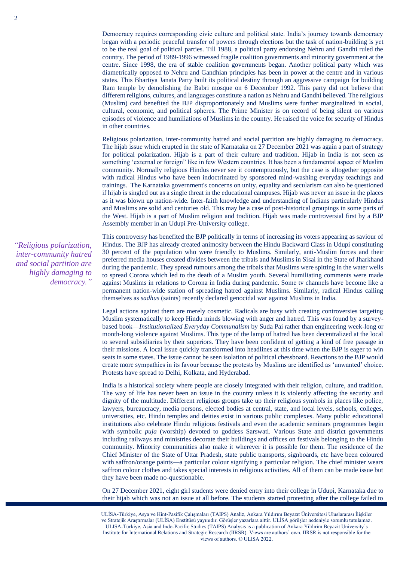Democracy requires corresponding civic culture and political state. India's journey towards democracy began with a periodic peaceful transfer of powers through elections but the task of nation-building is yet to be the real goal of political parties. Till 1988, a political party endorsing Nehru and Gandhi ruled the country. The period of 1989-1996 witnessed fragile coalition governments and minority government at the centre. Since 1998, the era of stable coalition governments began. Another political party which was diametrically opposed to Nehru and Gandhian principles has been in power at the centre and in various states. This Bhartiya Janata Party built its political destiny through an aggressive campaign for building Ram temple by demolishing the Babri mosque on 6 December 1992. This party did not believe that different religions, cultures, and languages constitute a nation as Nehru and Gandhi believed. The religious (Muslim) card benefited the BJP disproportionately and Muslims were further marginalized in social, cultural, economic, and political spheres. The Prime Minister is on record of being silent on various episodes of violence and humiliations of Muslims in the country. He raised the voice for security of Hindus in other countries.

Religious polarization, inter-community hatred and social partition are highly damaging to democracy. The hijab issue which erupted in the state of Karnataka on 27 December 2021 was again a part of strategy for political polarization. Hijab is a part of their culture and tradition. Hijab in India is not seen as something 'external or foreign" like in few Western countries. It has been a fundamental aspect of Muslim community. Normally religious Hindus never see it contemptuously, but the case is altogether opposite with radical Hindus who have been indoctrinated by sponsored mind-washing everyday teachings and trainings. The Karnataka government's concerns on unity, equality and secularism can also be questioned if hijab is singled out as a single threat in the educational campuses. Hijab was never an issue in the places as it was blown up nation-wide. Inter-faith knowledge and understanding of Indians particularly Hindus and Muslims are solid and centuries old. This may be a case of post-historical groupings in some parts of the West. Hijab is a part of Muslim religion and tradition. Hijab was made controversial first by a BJP Assembly member in an Udupi Pre-University college.

*"Religious polarization, inter-community hatred and social partition are highly damaging to democracy."* This controversy has benefited the BJP politically in terms of increasing its voters appearing as saviour of Hindus. The BJP has already created animosity between the Hindu Backward Class in Udupi constituting 30 percent of the population who were friendly to Muslims. Similarly, anti-Muslim forces and their preferred media houses created divides between the tribals and Muslims in Sisai in the State of Jharkhand during the pandemic. They spread rumours among the tribals that Muslims were spitting in the water wells to spread Corona which led to the death of a Muslim youth. Several humiliating comments were made against Muslims in relations to Corona in India during pandemic. Some tv channels have become like a permanent nation-wide station of spreading hatred against Muslims. Similarly, radical Hindus calling themselves as *sadhus* (saints) recently declared genocidal war against Muslims in India.

Legal actions against them are merely cosmetic. Radicals are busy with creating controversies targeting Muslim systematically to keep Hindu minds blowing with anger and hatred. This was found by a surveybased book—*Institutionalized Everyday Communalism* by Suda Pai rather than engineering week-long or month-long violence against Muslims. This type of the lamp of hatred has been decentralized at the local to several subsidiaries by their superiors. They have been confident of getting a kind of free passage in their missions. A local issue quickly transformed into headlines at this time when the BJP is eager to win seats in some states. The issue cannot be seen isolation of political chessboard. Reactions to the BJP would create more sympathies in its favour because the protests by Muslims are identified as 'unwanted' choice. Protests have spread to Delhi, Kolkata, and Hyderabad.

India is a historical society where people are closely integrated with their religion, culture, and tradition. The way of life has never been an issue in the country unless it is violently affecting the security and dignity of the multitude. Different religious groups take up their religious symbols in places like police, lawyers, bureaucracy, media persons, elected bodies at central, state, and local levels, schools, colleges, universities, etc. Hindu temples and deities exist in various public complexes. Many public educational institutions also celebrate Hindu religious festivals and even the academic seminars programmes begin with symbolic *puja* (worship) devoted to goddess Sarswati. Various State and district governments including railways and ministries decorate their buildings and offices on festivals belonging to the Hindu community. Minority communities also make it wherever it is possible for them. The residence of the Chief Minister of the State of Uttar Pradesh, state public transports, signboards, etc have been coloured with saffron/orange paints—a particular colour signifying a particular religion. The chief minister wears saffron colour clothes and takes special interests in religious activities. All of them can be made issue but they have been made no-questionable.

On 27 December 2021, eight girl students were denied entry into their college in Udupi, Karnataka due to their hijab which was not an issue at all before. The students started protesting after the college failed to

ULIS<br>ULIS

ve Stratejik Araştırmalar (ULİSA) Enstitüsü yayınıdır. Görüşler yazarlara aittir. ULİSA görüşler nedeniyle sorumlu tutulamaz. ULISA-Türkiye, Asia and Indo-Pacific Studies (TAIPS) Analysis is a publication of Ankara Yildirim Beyazit University's ULİSA-Türkiye, Asya ve Hint-Pasifik Çalışmaları (TAIPS) Analiz, Ankara Yıldırım Beyazıt Üniversitesi Uluslararası İlişkiler Institute for International Relations and Strategic Research (IIRSR). Views are authors' own. IIRSR is not responsible for the views of authors. © ULISA 2022.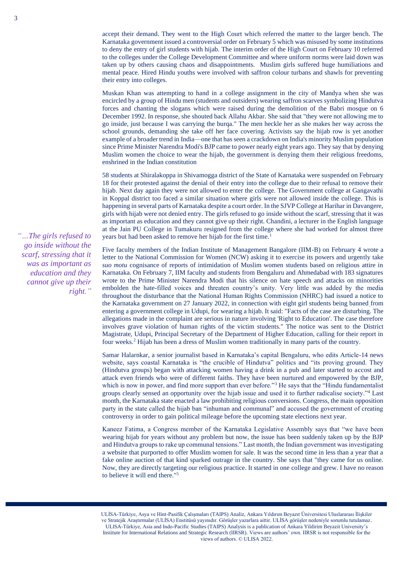accept their demand. They went to the High Court which referred the matter to the larger bench. The Karnataka government issued a controversial order on February 5 which was misused by some institutions to deny the entry of girl students with hijab. The interim order of the High Court on February 10 referred to the colleges under the College Development Committee and where uniform norms were laid down was taken up by others causing chaos and disappointments. Muslim girls suffered huge humiliations and mental peace. Hired Hindu youths were involved with saffron colour turbans and shawls for preventing their entry into colleges.

Muskan Khan was attempting to hand in a college assignment in the city of Mandya when she was encircled by a group of Hindu men (students and outsiders) wearing saffron scarves symbolizing Hindutva forces and chanting the slogans which were raised during the demolition of the Babri mosque on 6 December 1992. In response, she shouted back Allahu Akbar. She said that "they were not allowing me to go inside, just because I was carrying the burqa." The men heckle her as she makes her way across the school grounds, demanding she take off her face covering. Activists say the hijab row is yet another example of a broader trend in India—one that has seen a crackdown on India's minority Muslim population since Prime Minister Narendra Modi's BJP came to power nearly eight years ago. They say that by denying Muslim women the choice to wear the hijab, the government is denying them their religious freedoms, enshrined in the Indian constitution

58 students at Shiralakoppa in Shivamogga district of the State of Karnataka were suspended on February 18 for their protested against the denial of their entry into the college due to their refusal to remove their hijab. Next day again they were not allowed to enter the college. The Government college at Gangavathi in Koppal district too faced a similar situation where girls were not allowed inside the college. This is happening in several parts of Karnataka despite a court order. In the SJVP College at Harihar in Davangere, girls with hijab were not denied entry. The girls refused to go inside without the scarf, stressing that it was as important as education and they cannot give up their right. Chandini, a lecturer in the English language at the Jain PU College in Tumakuru resigned from the college where she had worked for almost three years but had been asked to remove her hijab for the first time.<sup>1</sup>

Five faculty members of the Indian Institute of Management Bangalore (IIM-B) on February 4 wrote a letter to the National Commission for Women (NCW) asking it to exercise its powers and urgently take *suo motu* cognisance of reports of intimidation of Muslim women students based on religious attire in Karnataka. On February 7, IIM faculty and students from Bengaluru and Ahmedabad with 183 signatures wrote to the Prime Minister Narendra Modi that his silence on hate speech and attacks on minorities embolden the hate-filled voices and threaten country's unity. Very little was added by the media throughout the disturbance that the National Human Rights Commission (NHRC) had issued a notice to the Karnataka government on 27 January 2022, in connection with eight girl students being banned [f](https://www.thequint.com/neon/gender/udupi-college-hijab-ban-for-muslim-students#read-more)rom entering a government college in Udupi, for wearing a hijab. It said: "Facts of the case are disturbing. The allegations made in the complaint are serious in nature involving 'Right to Education'. The case therefore involves grave violation of human rights of the victim students." The notice was sent to the District Magistrate, Udupi, Principal Secretary of the Department of Higher Education, calling for their report in four weeks.<sup>2</sup> Hijab has been a dress of Muslim women traditionally in many parts of the country.

Samar Halarnkar, a senior journalist based in Karnataka's capital Bengaluru, who edits Article-14 news website, says coastal Karnataka is "the crucible of Hindutva" politics and "its proving ground. They (Hindutva groups) began with attacking women having a drink in a pub and later started to accost and attack even friends who were of different faiths. They have been nurtured and empowered by the BJP, which is now in power, and find more support than ever before."<sup>3</sup> He says that the "Hindu fundamentalist" groups clearly sensed an opportunity over the hijab issue and used it to further radicalise society."<sup>4</sup> Last month, the Karnataka state enacted a law prohibiting religious conversions. Congress, the main opposition party in the state called the hijab ban "inhuman and communal" and accused the government of creating controversy in order to gain political mileage before the upcoming state elections next year.

Kaneez Fatima, a Congress member of the Karnataka Legislative Assembly says that "we have been wearing hijab for years without any problem but now, the issue has been suddenly taken up by the BJP and Hindutva groups to rake up communal tensions." Last month, the Indian government was investigating a website that purported to offer Muslim women for sale. It was the second time in less than a year that a fake online auction of that kind sparked outrage in the country. She says that "they came for us online. Now, they are directly targeting our religious practice. It started in one college and grew. I have no reason to believe it will end there."<sup>5</sup>

ULIS<br>ULIS

*"…The girls refused to go inside without the scarf, stressing that it was as important as education and they cannot give up their right."*

ve Stratejik Araştırmalar (ULİSA) Enstitüsü yayınıdır. Görüşler yazarlara aittir. ULİSA görüşler nedeniyle sorumlu tutulamaz. ULISA-Türkiye, Asia and Indo-Pacific Studies (TAIPS) Analysis is a publication of Ankara Yildirim Beyazit University's ULİSA-Türkiye, Asya ve Hint-Pasifik Çalışmaları (TAIPS) Analiz, Ankara Yıldırım Beyazıt Üniversitesi Uluslararası İlişkiler Institute for International Relations and Strategic Research (IIRSR). Views are authors' own. IIRSR is not responsible for the views of authors. © ULISA 2022.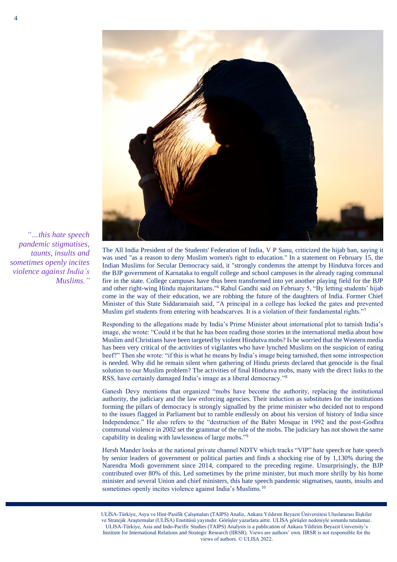

*minismus expects sector aims to benefit taunts, insults and from the vast knowledge sometimes openly incites and experience of its violence against India's Turkish equivalent." Muslims.""…this hate speech* 

The All India President of the Students' Federation of India, V P Sanu, criticized the hijab ban, saying it was used "as a reason to deny Muslim women's right to education." In a statement on February 15, the Indian Muslims for Secular Democracy said, it "strongly condemns the attempt by Hindutva forces and the BJP government of Karnataka to engulf college and school campuses in the already raging communal fire in the state. College campuses have thus been transformed into yet another playing field for the BJP and other right-wing Hindu majoritarians."<sup>6</sup> Rahul Gandhi said on February 5, "By letting students' hijab come in the way of their education, we are robbing the future of the daughters of India. Former Chief Minister of this State Siddaramaiah said, "A principal in a college has locked the gates and prevented Muslim girl students from entering with headscarves. It is a violation of their fundamental rights."<sup>7</sup>

Responding to the allegations made by India's Prime Minister about international plot to tarnish India's image, she wrote: "Could it be that he has been reading those stories in the international media about how Muslim and Christians have been targeted by violent Hindutva mobs? Is he worried that the Western media has been very critical of the activities of vigilantes who have lynched Muslims on the suspicion of eating beef?" Then she wrote: "if this is what he means by India's image being tarnished, then some introspection is needed. Why did he remain silent when gathering of Hindu priests declared that genocide is the final solution to our Muslim problem? The activities of final Hindutva mobs, many with the direct links to the RSS, have certainly damaged India's image as a liberal democracy."<sup>8</sup>

Ganesh Devy mentions that organized "mobs have become the authority, replacing the institutional authority, the judiciary and the law enforcing agencies. Their induction as substitutes for the institutions forming the pillars of democracy is strongly signalled by the prime minister who decided not to respond to the issues flagged in Parliament but to ramble endlessly on about his version of history of India since Independence." He also refers to the "destruction of the Babri Mosque in 1992 and the post-Godhra communal violence in 2002 set the grammar of the rule of the mobs. The judiciary has not shown the same capability in dealing with lawlessness of large mobs."<sup>9</sup>

Hersh Mander looks at the national private channel NDTV which tracks "VIP" hate speech or hate speech by senior leaders of government or political parties and finds a shocking rise of by 1,130% during the Narendra Modi government since 2014, compared to the preceding regime. Unsurprisingly, the BJP contributed over 80% of this. Led sometimes by the prime minister, but much more shrilly by his home minister and several Union and chief ministers, this hate speech pandemic stigmatises, taunts, insults and sometimes openly incites violence against India's Muslims.<sup>10</sup>

ve Stratejik Araştırmalar (ULİSA) Enstitüsü yayınıdır. Görüşler yazarlara aittir. ULİSA görüşler nedeniyle sorumlu tutulamaz. ULISA-Türkiye, Asia and Indo-Pacific Studies (TAIPS) Analysis is a publication of Ankara Yildirim Beyazit University's ULİSA-Türkiye, Asya ve Hint-Pasifik Çalışmaları (TAIPS) Analiz, Ankara Yıldırım Beyazıt Üniversitesi Uluslararası İlişkiler Institute for International Relations and Strategic Research (IIRSR). Views are authors' own. IIRSR is not responsible for the views of authors. © ULISA 2022.

ULIS<br>ULIS